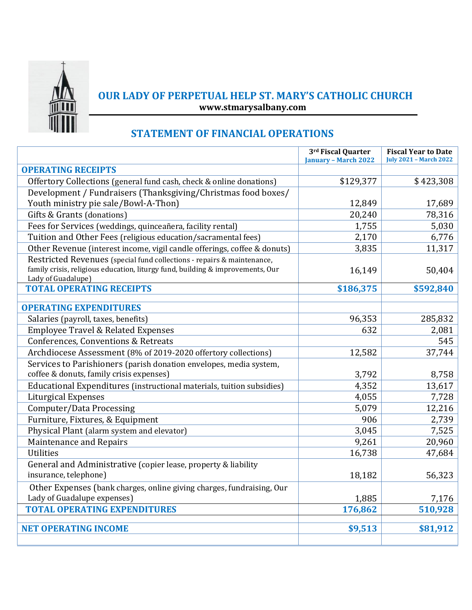

## **OUR LADY OF PERPETUAL HELP ST. MARY'S CATHOLIC CHURCH www.stmarysalbany.com**

## **STATEMENT OF FINANCIAL OPERATIONS**

|                                                                                                      | 3rd Fiscal Quarter<br><b>January - March 2022</b> | <b>Fiscal Year to Date</b><br><b>July 2021 - March 2022</b> |
|------------------------------------------------------------------------------------------------------|---------------------------------------------------|-------------------------------------------------------------|
| <b>OPERATING RECEIPTS</b>                                                                            |                                                   |                                                             |
| Offertory Collections (general fund cash, check & online donations)                                  | \$129,377                                         | \$423,308                                                   |
| Development / Fundraisers (Thanksgiving/Christmas food boxes/                                        |                                                   |                                                             |
| Youth ministry pie sale/Bowl-A-Thon)                                                                 | 12,849                                            | 17,689                                                      |
| Gifts & Grants (donations)                                                                           | 20,240                                            | 78,316                                                      |
| Fees for Services (weddings, quinceañera, facility rental)                                           | 1,755                                             | 5,030                                                       |
| Tuition and Other Fees (religious education/sacramental fees)                                        | 2,170                                             | 6,776                                                       |
| Other Revenue (interest income, vigil candle offerings, coffee & donuts)                             | 3,835                                             | 11,317                                                      |
| Restricted Revenues (special fund collections - repairs & maintenance,                               |                                                   |                                                             |
| family crisis, religious education, liturgy fund, building & improvements, Our<br>Lady of Guadalupe) | 16,149                                            | 50,404                                                      |
| <b>TOTAL OPERATING RECEIPTS</b>                                                                      | \$186,375                                         | \$592,840                                                   |
|                                                                                                      |                                                   |                                                             |
| <b>OPERATING EXPENDITURES</b>                                                                        |                                                   |                                                             |
| Salaries (payroll, taxes, benefits)                                                                  | 96,353                                            | 285,832                                                     |
| <b>Employee Travel &amp; Related Expenses</b>                                                        | 632                                               | 2,081                                                       |
| Conferences, Conventions & Retreats                                                                  |                                                   | 545                                                         |
| Archdiocese Assessment (8% of 2019-2020 offertory collections)                                       | 12,582                                            | 37,744                                                      |
| Services to Parishioners (parish donation envelopes, media system,                                   |                                                   |                                                             |
| coffee & donuts, family crisis expenses)                                                             | 3,792                                             | 8,758                                                       |
| Educational Expenditures (instructional materials, tuition subsidies)                                | 4,352                                             | 13,617                                                      |
| <b>Liturgical Expenses</b>                                                                           | 4,055                                             | 7,728                                                       |
| Computer/Data Processing                                                                             | 5,079                                             | 12,216                                                      |
| Furniture, Fixtures, & Equipment                                                                     | 906                                               | 2,739                                                       |
| Physical Plant (alarm system and elevator)                                                           | 3,045                                             | 7,525                                                       |
| Maintenance and Repairs                                                                              | 9,261                                             | 20,960                                                      |
| <b>Utilities</b>                                                                                     | 16,738                                            | 47,684                                                      |
| General and Administrative (copier lease, property & liability                                       |                                                   |                                                             |
| insurance, telephone)                                                                                | 18,182                                            | 56,323                                                      |
| Other Expenses (bank charges, online giving charges, fundraising, Our                                |                                                   |                                                             |
| Lady of Guadalupe expenses)                                                                          | 1,885                                             | 7,176                                                       |
| <b>TOTAL OPERATING EXPENDITURES</b>                                                                  | 176,862                                           | 510,928                                                     |
|                                                                                                      |                                                   |                                                             |
| <b>NET OPERATING INCOME</b>                                                                          | \$9,513                                           | \$81,912                                                    |